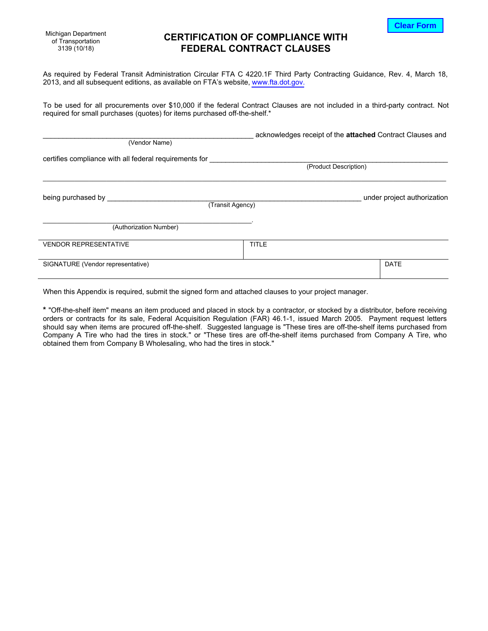**Clear Form**

Michigan Department of Transportation 3139 (10/18)

# **CERTIFICATION OF COMPLIANCE WITH FEDERAL CONTRACT CLAUSES**

As required by Federal Transit Administration Circular FTA C 4220.1F Third Party Contracting Guidance, Rev. 4, March 18, 2013, and all subsequent editions, as available on FTA's website,<www.fta.dot.gov>.

To be used for all procurements over \$10,000 if the federal Contract Clauses are not included in a third-party contract. Not required for small purchases (quotes) for items purchased off-the-shelf.\*

| (Vendor Name)                                          |                  | acknowledges receipt of the attached Contract Clauses and |
|--------------------------------------------------------|------------------|-----------------------------------------------------------|
| certifies compliance with all federal requirements for |                  | (Product Description)                                     |
| being purchased by                                     | (Transit Agency) | under project authorization                               |
| (Authorization Number)                                 |                  |                                                           |
| <b>VENDOR REPRESENTATIVE</b>                           | <b>TITLE</b>     |                                                           |
| SIGNATURE (Vendor representative)                      |                  | <b>DATE</b>                                               |

When this Appendix is required, submit the signed form and attached clauses to your project manager.

**\*** "Off-the-shelf item" means an item produced and placed in stock by a contractor, or stocked by a distributor, before receiving orders or contracts for its sale, Federal Acquisition Regulation (FAR) 46.1-1, issued March 2005. Payment request letters should say when items are procured off-the-shelf. Suggested language is "These tires are off-the-shelf items purchased from Company A Tire who had the tires in stock." or "These tires are off-the-shelf items purchased from Company A Tire, who obtained them from Company B Wholesaling, who had the tires in stock."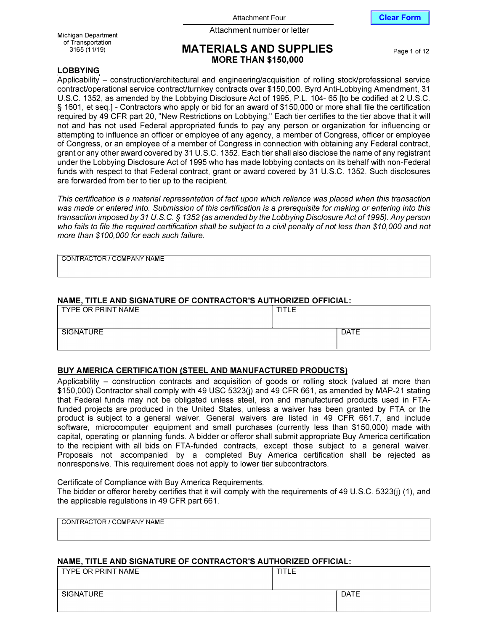Attachment Four **Clear Form** 



Attachment number or letter Michigan Department

of Transportation<br>3165 (11/19)

## **MATERIALS AND SUPPLIES** Page 1 of 12 **MORE THAN \$150,000**

## **LOBBYING**

Applicability - construction/architectural and engineering/acquisition of rolling stock/professional service contracUoperational service contracUturnkey contracts over \$150,000. Byrd Anti-Lobbying Amendment, 31 U.S.C. 1352, as amended by the Lobbying Disclosure Act of 1995, P.L. 104- 65 [to be codified at 2 U.S.C. § 1601, et seq.] - Contractors who apply or bid for an award of \$150,000 or more shall file the certification required by 49 CFR part 20, "New Restrictions on Lobbying." Each tier certifies to the tier above that it will not and has not used Federal appropriated funds to pay any person or organization for influencing or attempting to influence an officer or employee of any agency, a member of Congress, officer or employee of Congress, or an employee of a member of Congress in connection with obtaining any Federal contract, grant or any other award covered by 31 U.S.C. 1352. Each tier shall also disclose the name of any registrant under the Lobbying Disclosure Act of 1995 who has made lobbying contacts on its behalf with non-Federal funds with respect to that Federal contract, grant or award covered by 31 U.S.C. 1352. Such disclosures are forwarded from tier to tier up to the recipient.

*This certification is* a *material representation of fact upon which reliance was placed when this transaction was made or entered into. Submission of this certification is* a *prerequisite for making or entering into this transaction imposed by 31 U.S.* C. *§ 1352 (as amended by the Lobbying Disclosure Act of 1995). Any person*  who fails to file the required certification shall be subject to a civil penalty of not less than \$10,000 and not *more than \$100,000 for each such failure.* 

CONTRACTOR / COMPANY NAME

## **NAME, TITLE AND SIGNATURE OF CONTRACTOR'S AUTHORIZED OFFICIAL:**

| TYPE OR PRINT NAME | TITLE |      |
|--------------------|-------|------|
| SIGNATURE          |       | DATE |

## **BUY AMERICA CERTIFICATION {STEEL AND MANUFACTURED PRODUCTS)**

Applicability - construction contracts and acquisition of goods or rolling stock (valued at more than \$150,000) Contractor shall comply with 49 USC 5323(j) and 49 CFR 661, as amended by MAP-21 stating that Federal funds may not be obligated unless steel, iron and manufactured products used in FTAfunded projects are produced in the United States, unless a waiver has been granted by FTA or the product is subject to a general waiver. General waivers are listed in 49 CFR 661.7, and include software, microcomputer equipment and small purchases (currently less than \$150,000) made with capital, operating or planning funds. A bidder or offerer shall submit appropriate Buy America certification to the recipient with all bids on FTA-funded contracts, except those subject to a general waiver. Proposals not accompanied by a completed Buy America certification shall be rejected as nonresponsive. This requirement does not apply to lower tier subcontractors.

Certificate of Compliance with Buy America Requirements.

The bidder or offeror hereby certifies that it will comply with the requirements of 49 U.S.C. 5323(j) (1), and the applicable regulations in 49 CFR part 661.

| CONTRACTOR / COMPANY NAME |  |  |
|---------------------------|--|--|
|                           |  |  |
|                           |  |  |

### **NAME, TITLE AND SIGNATURE OF CONTRACTOR'S AUTHORIZED OFFICIAL:**

| TYPE OR PRINT NAME | TITLE |             |
|--------------------|-------|-------------|
| SIGNATURE          |       | <b>DATE</b> |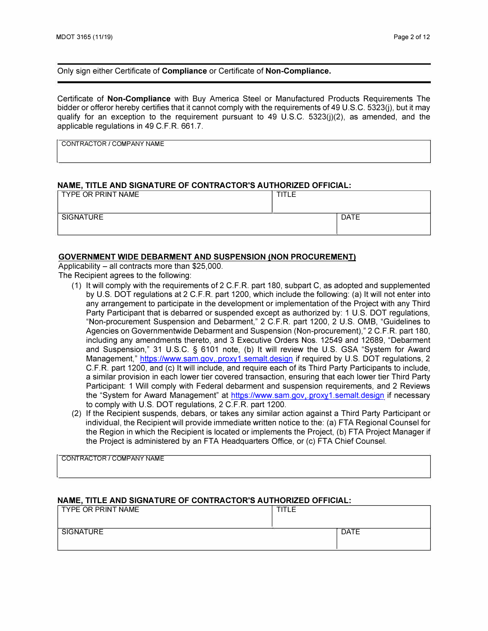Only sign either Certificate of **Compliance** or Certificate of **Non-Compliance.** 

Certificate of **Non-Compliance** with Buy America Steel or Manufactured Products Requirements The bidder or offeror hereby certifies that it cannot comply with the requirements of 49 U.S.C. 5323(i), but it may qualify for an exception to the requirement pursuant to 49 U.S.C. 5323(j)(2), as amended, and the applicable regulations in 49 C.F.R. 661.7.

**CONTRACTOR / COMPANY NAME** 

#### **NAME, TITLE AND SIGNATURE OF CONTRACTOR'S AUTHORIZED OFFICIAL:**

| TYPE OR PRINT NAME | <b>TITLE</b> |             |
|--------------------|--------------|-------------|
| SIGNATURE          |              | <b>DATE</b> |
|                    |              |             |

#### **GOVERNMENT WIDE DEBARMENT AND SUSPENSION (NON PROCUREMENT}**

Applicability  $-$  all contracts more than \$25,000.

The Recipient agrees to the following:

- (1) It will comply with the requirements of 2 C.F.R. part 180, subpart C, as adopted and supplemented by U.S. DOT regulations at 2 C.F.R. part 1200, which include the following: (a) It will not enter into any arrangement to participate in the development or implementation of the Project with any Third Party Participant that is debarred or suspended except as authorized by: 1 U.S. DOT regulations, "Non-procurement Suspension and Debarment," 2 C.F.R. part 1200, 2 U.S. 0MB, "Guidelines to Agencies on Governmentwide Debarment and Suspension (Non-procurement)," 2 C.F.R. part 180, including any amendments thereto, and 3 Executive Orders Nos. 12549 and 12689, "Debarment and Suspension," 31 U.S.C. § 6101 note, (b) It will review the U.S. GSA "System for Award Management," <https://www.sam.gov,.proxy1.semalt.design> if required by U.S. DOT regulations, 2 C.F.R. part 1200, and (c) It will include, and require each of its Third Party Participants to include, a similar provision in each lower tier covered transaction, ensuring that each lower tier Third Party Participant: 1 Will comply with Federal debarment and suspension requirements, and 2 Reviews the "System for Award Management" at <https://www.sam.gov,.proxy1> .semalt.design if necessary to comply with U.S. DOT regulations, 2 C.F.R. part 1200.
- (2) If the Recipient suspends, debars, or takes any similar action against a Third Party Participant or individual, the Recipient will provide immediate written notice to the: (a) FTA Regional Counsel for the Region in which the Recipient is located or implements the Project, (b) FTA Project Manager if the Project is administered by an FTA Headquarters Office, or (c) FTA Chief Counsel.

CONTRACTOR / COMPANY NAME

#### **NAME, TITLE AND SIGNATURE OF CONTRACTOR'S AUTHORIZED OFFICIAL:**

| TYPE OR PRINT NAME | TITLE |             |
|--------------------|-------|-------------|
|                    |       |             |
| SIGNATURE          |       | <b>DATE</b> |
|                    |       |             |
|                    |       |             |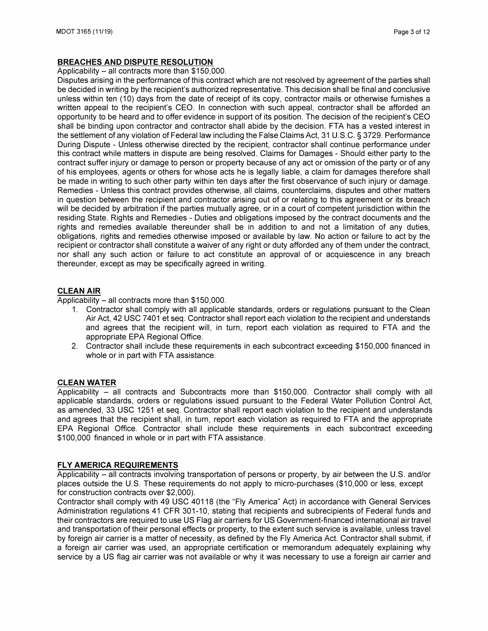## **BREACHES AND DISPUTE RESOLUTION**

#### Applicability - all contracts more than \$150,000.

Disputes arising in the performance of this contract which are not resolved by agreement of the parties shall be decided in writing by the recipient's authorized representative. This decision shall be final and conclusive unless within ten (10) days from the date of receipt of its copy, contractor mails or otherwise furnishes a written appeal to the recipient's CEO. In connection with such appeal, contractor shall be afforded an opportunity to be heard and to offer evidence in support of its position. The decision of the recipient's CEO shall be binding upon contractor and contractor shall abide by the decision. FTA has a vested interest in the settlement of any violation of Federal law including the False Claims Act, 31 U.S.C. § 3729. Performance During Dispute - Unless otherwise directed by the recipient, contractor shall continue performance under this contract while matters in dispute are being resolved. Claims for Damages - Should either party to the contract suffer injury or damage to person or property because of any act or omission of the party or of any of his employees, agents or others for whose acts he is legally liable, a claim for damages therefore shall be made in writing to such other party within ten days after the first observance of such injury or damage. Remedies - Unless this contract provides otherwise, all claims, counterclaims, disputes and other matters in question between the recipient and contractor arising out of or relating to this agreement or its breach will be decided by arbitration if the parties mutually agree, or in a court of competent jurisdiction within the residing State. Rights and Remedies - Duties and obligations imposed by the contract documents and the rights and remedies available thereunder shall be in addition to and not a limitation of any duties, obligations, rights and remedies otherwise imposed or available by law. No action or failure to act by the recipient or contractor shall constitute a waiver of any right or duty afforded any of them under the contract, nor shall any such action or failure to act constitute an approval of or acquiescence in any breach thereunder, except as may be specifically agreed in writing.

### **CLEAN AIR**

Applicability  $-$  all contracts more than \$150,000.

- 1. Contractor shall comply with all applicable standards, orders or regulations pursuant to the Clean Air Act, 42 USC 7401 et seq. Contractor shall report each violation to the recipient and understands and agrees that the recipient will, in turn, report each violation as required to FTA and the appropriate EPA Regional Office.
- 2. Contractor shall include these requirements in each subcontract exceeding \$150,000 financed in whole or in part with FTA assistance.

### **CLEAN WATER**

Applicability - all contracts and Subcontracts more than \$150,000. Contractor shall comply with all applicable standards, orders or regulations issued pursuant to the Federal Water Pollution Control Act, as amended, 33 USC 1251 et seq. Contractor shall report each violation to the recipient and understands and agrees that the recipient shall, in turn, report each violation as required to FTA and the appropriate EPA Regional Office. Contractor shall include these requirements in each subcontract exceeding \$100,000 financed in whole or in part with FTA assistance.

### **FLY AMERICA REQUIREMENTS**

Applicability - all contracts involving transportation of persons or property, by air between the U.S. and/or places outside the U.S. These requirements do not apply to micro-purchases (\$10,000 or less, except for construction contracts over \$2,000).

Contractor shall comply with 49 USC 40118 (the "Fly America" Act) in accordance with General Services Administration regulations 41 CFR 301-10, stating that recipients and subrecipients of Federal funds and their contractors are required to use US Flag air carriers for US Government-financed international air travel and transportation of their personal effects or property, to the extent such service is available, unless travel by foreign air carrier is a matter of necessity, as defined by the Fly America Act. Contractor shall submit, if a foreign air carrier was used, an appropriate certification or memorandum adequately explaining why service by a US flag air carrier was not available or why it was necessary to use a foreign air carrier and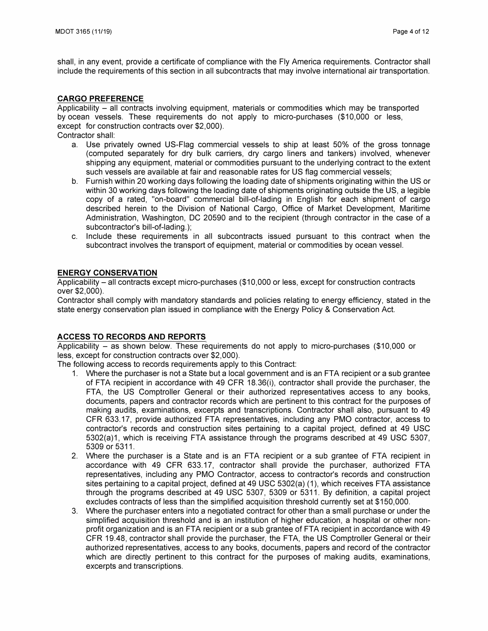shall, in any event, provide a certificate of compliance with the Fly America requirements. Contractor shall include the requirements of this section in all subcontracts that may involve international air transportation.

### **CARGO PREFERENCE**

Applicability - all contracts involving equipment, materials or commodities which may be transported by ocean vessels. These requirements do not apply to micro-purchases (\$10,000 or less, except for construction contracts over \$2,000).

Contractor shall:

- a. Use privately owned US-Flag commercial vessels to ship at least 50% of the gross tonnage (computed separately for dry bulk carriers, dry cargo liners and tankers) involved, whenever shipping any equipment, material or commodities pursuant to the underlying contract to the extent such vessels are available at fair and reasonable rates for US flag commercial vessels;
- b. Furnish within 20 working days following the loading date of shipments originating within the US or within 30 working days following the loading date of shipments originating outside the US, a legible copy of a rated, "on-board" commercial bill-of-lading in English for each shipment of cargo described herein to the Division of National Cargo, Office of Market Development, Maritime Administration, Washington, DC 20590 and to the recipient (through contractor in the case of a subcontractor's bill-of-lading.);
- c. Include these requirements in all subcontracts issued pursuant to this contract when the subcontract involves the transport of equipment, material or commodities by ocean vessel.

### **ENERGY CONSERVATION**

Applicability - all contracts except micro-purchases (\$10,000 or less, except for construction contracts over \$2,000).

Contractor shall comply with mandatory standards and policies relating to energy efficiency, stated in the state energy conservation plan issued in compliance with the Energy Policy & Conservation Act.

### **ACCESS TO RECORDS AND REPORTS**

Applicability  $-$  as shown below. These requirements do not apply to micro-purchases (\$10,000 or less, except for construction contracts over \$2,000).

The following access to records requirements apply to this Contract:

- 1. Where the purchaser is not a State but a local government and is an FTA recipient or a sub grantee of FTA recipient in accordance with 49 CFR 18.36(i), contractor shall provide the purchaser, the FTA, the US Comptroller General or their authorized representatives access to any books, documents, papers and contractor records which are pertinent to this contract for the purposes of making audits, examinations, excerpts and transcriptions. Contractor shall also, pursuant to 49 CFR 633.17, provide authorized FTA representatives, including any PMO contractor, access to contractor's records and construction sites pertaining to a capital project, defined at 49 USC 5302(a)1, which is receiving FTA assistance through the programs described at 49 USC 5307, 5309 or 5311.
- 2. Where the purchaser is a State and is an FTA recipient or a sub grantee of FTA recipient in accordance with 49 CFR 633.17, contractor shall provide the purchaser, authorized FTA representatives, including any PMO Contractor, access to contractor's records and construction sites pertaining to a capital project, defined at 49 USC 5302(a) (1 ), which receives FTA assistance through the programs described at 49 USC 5307, 5309 or 5311. By definition, a capital project excludes contracts of less than the simplified acquisition threshold currently set at \$150,000.
- 3. Where the purchaser enters into a negotiated contract for other than a small purchase or under the simplified acquisition threshold and is an institution of higher education, a hospital or other nonprofit organization and is an FTA recipient or a sub grantee of FTA recipient in accordance with 49 CFR 19.48, contractor shall provide the purchaser, the FTA, the US Comptroller General or their authorized representatives, access to any books, documents, papers and record of the contractor which are directly pertinent to this contract for the purposes of making audits, examinations, excerpts and transcriptions.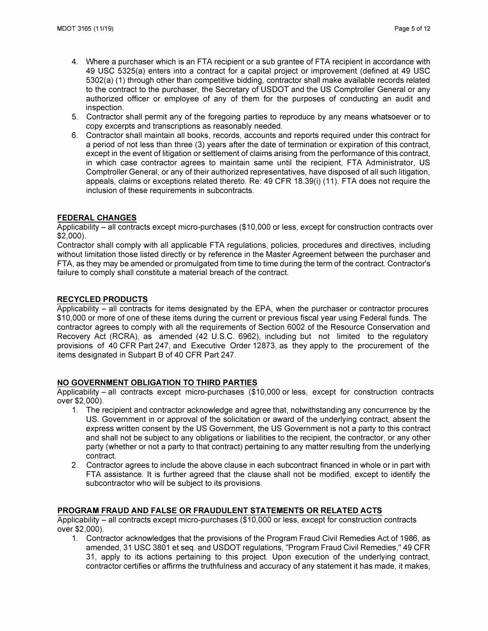- 4. Where a purchaser which is an FTA recipient or a sub grantee of FTA recipient in accordance with 49 USC 5325(a) enters into a contract for a capital project or improvement (defined at 49 USC 5302(a) (1) through other than competitive bidding, contractor shall make available records related to the contract to the purchaser, the Secretary of USDOT and the US Comptroller General or any authorized officer or employee of any of them for the purposes of conducting an audit and inspection.
- 5. Contractor shall permit any of the foregoing parties to reproduce by any means whatsoever or to copy excerpts and transcriptions as reasonably needed.
- 6. Contractor shall maintain all books, records, accounts and reports required under this contract for a period of not less than three (3) years after the date of termination or expiration of this contract, except in the event of litigation or settlement of claims arising from the performance of this contract, in which case contractor agrees to maintain same until the recipient, FTA Administrator, US Comptroller General, or any of their authorized representatives, have disposed of all such litigation, appeals, claims or exceptions related thereto. Re: 49 CFR 18.39(i) (11 ). FTA does not require the inclusion of these requirements in subcontracts.

## **FEDERAL CHANGES**

Applicability – all contracts except micro-purchases (\$10,000 or less, except for construction contracts over \$2,000).

Contractor shall comply with all applicable FTA regulations, policies, procedures and directives, including without limitation those listed directly or by reference in the Master Agreement between the purchaser and FTA, as they may be amended or promulgated from time to time during the term of the contract. Contractor's failure to comply shall constitute a material breach of the contract.

## **RECYCLED PRODUCTS**

Applicability – all contracts for items designated by the EPA, when the purchaser or contractor procures \$10,000 or more of one of these items during the current or previous fiscal year using Federal funds. The contractor agrees to comply with all the requirements of Section 6002 of the Resource Conservation and Recovery Act (RCRA), as amended (42 U.S.C. 6962), including but not limited to the regulatory provisions of 40 CFR Part 247, and Executive Order 12873, as they apply to the procurement of the items designated in Subpart B of 40 CFR Part 247.

## **NO GOVERNMENT OBLIGATION TO THIRD PARTIES**

Applicability - all contracts except micro-purchases (\$10,000 or less, except for construction contracts over \$2,000).

- 1. The recipient and contractor acknowledge and agree that, notwithstanding any concurrence by the US. Government in or approval of the solicitation or award of the underlying contract, absent the express written consent by the US Government, the US Government is not a party to this contract and shall not be subject to any obligations or liabilities to the recipient, the contractor, or any other party (whether or not a party to that contract) pertaining to any matter resulting from the underlying contract.
- 2. Contractor agrees to include the above clause in each subcontract financed in whole or in part with FTA assistance. It is further agreed that the clause shall not be modified, except to identify the subcontractor who will be subject to its provisions.

## **PROGRAM FRAUD AND FALSE OR FRAUDULENT STATEMENTS OR RELATED ACTS**

Applicability - all contracts except micro-purchases (\$10,000 or less, except for construction contracts over \$2,000).

1. Contractor acknowledges that the provisions of the Program Fraud Civil Remedies Act of 1986, as amended, 31 USC 3801 et seq. and USDOT regulations, "Program Fraud Civil Remedies," 49 CFR 31, apply to its actions pertaining to this project. Upon execution of the underlying contract, contractor certifies or affirms the truthfulness and accuracy of any statement it has made, it makes,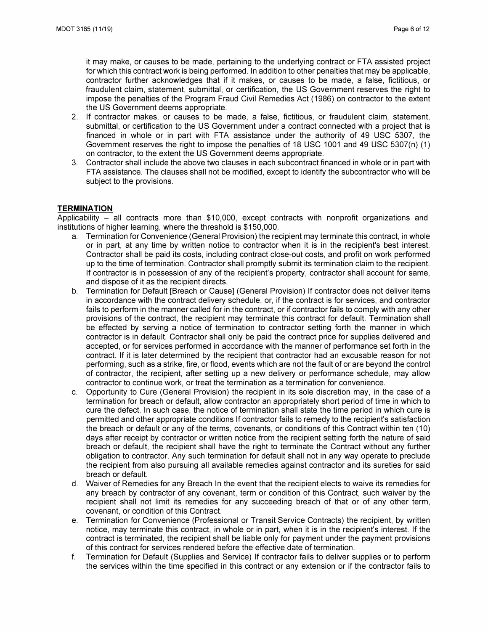it may make, or causes to be made, pertaining to the underlying contract or FTA assisted project for which this contract work is being performed. In addition to other penalties that may be applicable, contractor further acknowledges that if it makes, or causes to be made, a false, fictitious, or fraudulent claim, statement, submittal, or certification, the US Government reserves the right to impose the penalties of the Program Fraud Civil Remedies Act (1986) on contractor to the extent the US Government deems appropriate.

- 2. If contractor makes, or causes to be made, a false, fictitious, or fraudulent claim, statement, submittal, or certification to the US Government under a contract connected with a project that is financed in whole or in part with FTA assistance under the authority of 49 USC 5307, the Government reserves the right to impose the penalties of 18 USC 1001 and 49 USC 5307(n) (1) on contractor, to the extent the US Government deems appropriate.
- 3. Contractor shall include the above two clauses in each subcontract financed in whole or in part with FTA assistance. The clauses shall not be modified, except to identify the subcontractor who will be subject to the provisions.

### **TERMINATION**

Applicability  $-$  all contracts more than \$10,000, except contracts with nonprofit organizations and institutions of higher learning, where the threshold is \$150,000.

- a. Termination for Convenience (General Provision) the recipient may terminate this contract, in whole or in part, at any time by written notice to contractor when it is in the recipient's best interest. Contractor shall be paid its costs, including contract close-out costs, and profit on work performed up to the time of termination. Contractor shall promptly submit its termination claim to the recipient. If contractor is in possession of any of the recipient's property, contractor shall account for same, and dispose of it as the recipient directs.
- b. Termination for Default [Breach or Cause] (General Provision) If contractor does not deliver items in accordance with the contract delivery schedule, or, if the contract is for services, and contractor fails to perform in the manner called for in the contract, or if contractor fails to comply with any other provisions of the contract, the recipient may terminate this contract for default. Termination shall be effected by serving a notice of termination to contractor setting forth the manner in which contractor is in default. Contractor shall only be paid the contract price for supplies delivered and accepted, or for services performed in accordance with the manner of performance set forth in the contract. If it is later determined by the recipient that contractor had an excusable reason for not performing, such as a strike, fire, or flood, events which are not the fault of or are beyond the control of contractor, the recipient, after setting up a new delivery or performance schedule, may allow contractor to continue work, or treat the termination as a termination for convenience.
- c. Opportunity to Cure (General Provision) the recipient in its sole discretion may, in the case of a termination for breach or default, allow contractor an appropriately short period of time in which to cure the defect. In such case, the notice of termination shall state the time period in which cure is permitted and other appropriate conditions If contractor fails to remedy to the recipient's satisfaction the breach or default or any of the terms, covenants, or conditions of this Contract within ten (10) days after receipt by contractor or written notice from the recipient setting forth the nature of said breach or default, the recipient shall have the right to terminate the Contract without any further obligation to contractor. Any such termination for default shall not in any way operate to preclude the recipient from also pursuing all available remedies against contractor and its sureties for said breach or default.
- d. Waiver of Remedies for any Breach In the event that the recipient elects to waive its remedies for any breach by contractor of any covenant, term or condition of this Contract, such waiver by the recipient shall not limit its remedies for any succeeding breach of that or of any other term, covenant, or condition of this Contract.
- e. Termination for Convenience (Professional or Transit Service Contracts) the recipient, by written notice, may terminate this contract, in whole or in part, when it is in the recipient's interest. If the contract is terminated, the recipient shall be liable only for payment under the payment provisions of this contract for services rendered before the effective date of termination.
- f. Termination for Default (Supplies and Service) If contractor fails to deliver supplies or to perform the services within the time specified in this contract or any extension or if the contractor fails to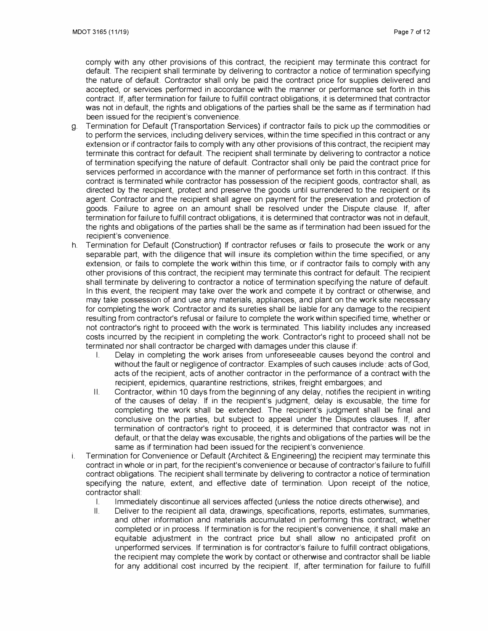comply with any other provisions of this contract, the recipient may terminate this contract for default. The recipient shall terminate by delivering to contractor a notice of termination specifying the nature of default. Contractor shall only be paid the contract price for supplies delivered and accepted, or services performed in accordance with the manner or performance set forth in this contract. If, after termination for failure to fulfill contract obligations, it is determined that contractor was not in default, the rights and obligations of the parties shall be the same as if termination had been issued for the recipient's convenience.

- g. Termination for Default (Transportation Services) if contractor fails to pick up the commodities or to perform the services, including delivery services, within the time specified in this contract or any extension or if contractor fails to comply with any other provisions of this contract, the recipient may terminate this contract for default. The recipient shall terminate by delivering to contractor a notice of termination specifying the nature of default. Contractor shall only be paid the contract price for services performed in accordance with the manner of performance set forth in this contract. If this contract is terminated while contractor has possession of the recipient goods, contractor shall, as directed by the recipient, protect and preserve the goods until surrendered to the recipient or its agent. Contractor and the recipient shall agree on payment for the preservation and protection of goods. Failure to agree on an amount shall be resolved under the Dispute clause. If, after termination for failure to fulfill contract obligations, it is determined that contractor was not in default, the rights and obligations of the parties shall be the same as if termination had been issued for the recipient's convenience.
- h. Termination for Default (Construction) If contractor refuses or fails to prosecute the work or any separable part, with the diligence that will insure its completion within the time specified, or any extension, or fails to complete the work within this time, or if contractor fails to comply with any other provisions of this contract, the recipient may terminate this contract for default. The recipient shall terminate by delivering to contractor a notice of termination specifying the nature of default. In this event, the recipient may take over the work and compete it by contract or otherwise, and may take possession of and use any materials, appliances, and plant on the work site necessary for completing the work. Contractor and its sureties shall be liable for any damage to the recipient resulting from contractor's refusal or failure to complete the work within specified time, whether or not contractor's right to proceed with the work is terminated. This liability includes any increased costs incurred by the recipient in completing the work. Contractor's right to proceed shall not be terminated nor shall contractor be charged with damages under this clause if:
	- I. Delay in completing the work arises from unforeseeable causes beyond the control and without the fault or negligence of contractor. Examples of such causes include: acts of God, acts of the recipient, acts of another contractor in the performance of a contract with the recipient, epidemics, quarantine restrictions, strikes, freight embargoes; and
	- 11. Contractor, within 10 days from the beginning of any delay, notifies the recipient in writing of the causes of delay. If in the recipient's judgment, delay is excusable, the time for completing the work shall be extended. The recipient's judgment shall be final and conclusive on the parties, but subject to appeal under the Disputes clauses. If, after termination of contractor's right to proceed, it is determined that contractor was not in default, or that the delay was excusable, the rights and obligations of the parties will be the same as if termination had been issued for the recipient's convenience.
- i. Termination for Convenience or Default (Architect & Engineering) the recipient may terminate this contract in whole or in part, for the recipient's convenience or because of contractor's failure to fulfill contract obligations. The recipient shall terminate by delivering to contractor a notice of termination specifying the nature, extent, and effective date of termination. Upon receipt of the notice, contractor shall:
	- I. Immediately discontinue all services affected (unless the notice directs otherwise), and
	- II. Deliver to the recipient all data, drawings, specifications, reports, estimates, summaries, and other information and materials accumulated in performing this contract, whether completed or in process. If termination is for the recipient's convenience, it shall make an equitable adjustment in the contract price but shall allow no anticipated profit on unperformed services. If termination is for contractor's failure to fulfill contract obligations, the recipient may complete the work by contact or otherwise and contractor shall be liable for any additional cost incurred by the recipient. If, after termination for failure to fulfill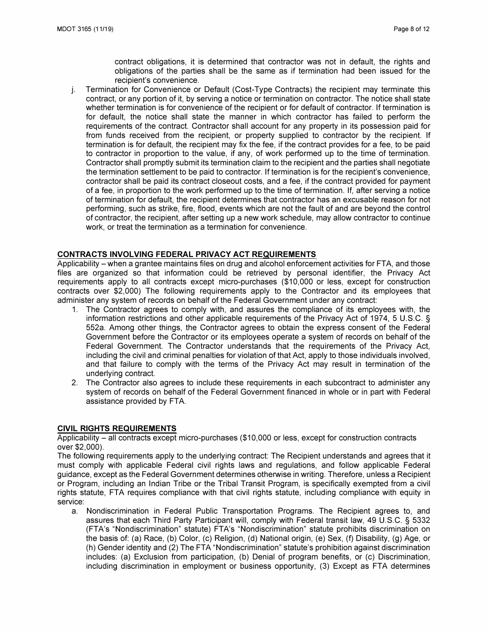contract obligations, it is determined that contractor was not in default, the rights and obligations of the parties shall be the same as if termination had been issued for the recipient's convenience.

j. Termination for Convenience or Default (Cost-Type Contracts) the recipient may terminate this contract, or any portion of it, by serving a notice or termination on contractor. The notice shall state whether termination is for convenience of the recipient or for default of contractor. If termination is for default, the notice shall state the manner in which contractor has failed to perform the requirements of the contract. Contractor shall account for any property in its possession paid for from funds received from the recipient, or property supplied to contractor by the recipient. If termination is for default, the recipient may fix the fee, if the contract provides for a fee, to be paid to contractor in proportion to the value, if any, of work performed up to the time of termination. Contractor shall promptly submit its termination claim to the recipient and the parties shall negotiate the termination settlement to be paid to contractor. If termination is for the recipient's convenience, contractor shall be paid its contract closeout costs, and a fee, if the contract provided for payment of a fee, in proportion to the work performed up to the time of termination. If, after serving a notice of termination for default, the recipient determines that contractor has an excusable reason for not performing, such as strike, fire, flood, events which are not the fault of and are beyond the control of contractor, the recipient, after setting up a new work schedule, may allow contractor to continue work, or treat the termination as a termination for convenience.

### **CONTRACTS INVOLVING FEDERAL PRIVACY ACT REQUIREMENTS**

Applicability – when a grantee maintains files on drug and alcohol enforcement activities for FTA, and those files are organized so that information could be retrieved by personal identifier, the Privacy Act requirements apply to all contracts except micro-purchases (\$10,000 or less, except for construction contracts over \$2,000) The following requirements apply to the Contractor and its employees that administer any system of records on behalf of the Federal Government under any contract:

- 1. The Contractor agrees to comply with, and assures the compliance of its employees with, the information restrictions and other applicable requirements of the Privacy Act of 1974, 5 U.S.C. § 552a. Among other things, the Contractor agrees to obtain the express consent of the Federal Government before the Contractor or its employees operate a system of records on behalf of the Federal Government. The Contractor understands that the requirements of the Privacy Act, including the civil and criminal penalties for violation of that Act, apply to those individuals involved, and that failure to comply with the terms of the Privacy Act may result in termination of the underlying contract.
- 2. The Contractor also agrees to include these requirements in each subcontract to administer any system of records on behalf of the Federal Government financed in whole or in part with Federal assistance provided by **FT**A.

### **CIVIL RIGHTS REQUIREMENTS**

Applicability - all contracts except micro-purchases (\$10,000 or less, except for construction contracts over \$2,000).

The following requirements apply to the underlying contract: The Recipient understands and agrees that it must comply with applicable Federal civil rights laws and regulations, and follow applicable Federal guidance, except as the Federal Government determines otherwise in writing. Therefore, unless a Recipient or Program, including an Indian Tribe or the Tribal Transit Program, is specifically exempted from a civil rights statute, FTA requires compliance with that civil rights statute, including compliance with equity in service:

a. Nondiscrimination in Federal Public Transportation Programs. The Recipient agrees to, and assures that each Third Party Participant will, comply with Federal transit law, 49 U.S.C. § 5332 **(FT**A's "Nondiscrimination" statute) **FT**A's "Nondiscrimination" statute prohibits discrimination on the basis of: (a) Race, (b) Color, (c) Religion, (d) National origin, (e) Sex, (f) Disability, (g) Age, or (h) Gender identity and (2) The FTA "Nondiscrimination" statute's prohibition against discrimination includes: (a) Exclusion from participation, (b) Denial of program benefits, or (c) Discrimination, including discrimination in employment or business opportunity, (3) Except as FTA determines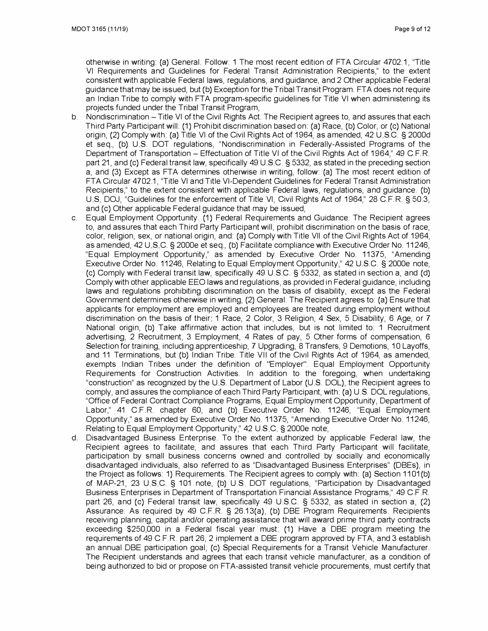otherwise in writing: (a) General. Follow: 1 The most recent edition of FTA Circular 4702.1, "Title VI Requirements and Guidelines for Federal Transit Administration Recipients," to the extent consistent with applicable Federal laws, regulations, and guidance, and 2 other applicable Federal guidance that may be issued, but (b) Exception for the Tribal Transit Program FT A does not require an Indian Tribe to comply with FTA program-specific guidelines for Title VI when administering its projects funded under the Tribal Transit Program,

- b. Nondiscrimination Title VI of the Civil Rights Act. The Recipient agrees to, and assures that each Third Party Participant will: (1) Prohibit discrimination based on: (a) Race, (b) Color, or (c) National origin, (2) Comply with: (a) Title VI of the Civil Rights Act of 1964, as amended, 42 U S.C. § 2000d et seq., (b) U.S. DOT regulations, "Nondiscrimination in Federally-Assisted Programs of the Department of Transportation - Effectuation of Title VI of the Civil Rights Act of 1964," 49 C.F.R. part 21, and (c) Federal transit law, specifically 49 U.S.C. § 5332, as stated in the preceding section a, and (3) Except as FTA determines otherwise in writing, follow: (a) The most recent edition of FT A Circular 4702.1, "Title VI and Title VI-Dependent Guidelines for Federal Transit Administration Recipients," to the extent consistent with applicable Federal laws, regulations, and guidance. (b) US DOJ, "Guidelines for the enforcement of Title VI, Civil Rights Act of 1964," 28 CFR § 50.3, and (c) Other applicable Federal guidance that may be issued,
- c. Equal Employment Opportunity. (1) Federal Requirements and Guidance. The Recipient agrees to, and assures that each Third Party Participant will, prohibit discrimination on the basis of race, color, religion, sex, or national origin, and: (a) Comply with Title VII of the Civil Rights Act of 1964, as amended, 42 U.S.C. § 2000e et seq., (b) Facilitate compliance with Executive Order No. 11246, "Equal Employment Opportunity," as amended by Executive Order No. 11375, "Amending Executive Order No. 11246, Relating to Equal Employment Opportunity," 42 U.S.C. § 2000e note, (c) Comply with Federal transit law, specifically 49 US.C. § 5332, as stated in section a, and (d) Comply with other applicable EEO laws and regulations, as provided in Federal guidance, including laws and regulations prohibiting discrimination on the basis of disability, except as the Federal Government determines otherwise in writing, (2) General. The Recipient agrees to: (a) Ensure that applicants for employment are employed and employees are treated during employment without discrimination on the basis of their 1 Race, 2 Color, 3 Religion, 4 Sex, 5 Disability, 6 Age, or 7 National origin, (b) Take affirmative action that includes, but is not limited to: 1 Recruitment advertising, 2 Recruitment, 3 Employment, 4 Rates of pay, 5 other forms of compensation, 6 Selection for training, including apprenticeship, 7 Upgrading, 8 Transfers, 9 Demotions, 10 Layoffs, and 11 Terminations, but (b) Indian Tribe. Title VII of the Civil Rights Act of 1964, as amended, exempts Indian Tribes under the definition of "Employer". Equal Employment Opportunity Requirements for Construction Activities. In addition to the foregoing, when undertaking "construction" as recognized by the U.S. Department of Labor (U.S. DOL), the Recipient agrees to comply, and assures the compliance of each Third Party Participant, with: (a) U S. DOL regulations, "Office of Federal Contract Compliance Programs, Equal Employment Opportunity, Department of Labor," 41 C.F.R chapter 60, and (b) Executive Order No. 11246, "Equal Employment Opportunity," as amended by Executive Order No. 11375, "Amending Executive Order No. 11246, Relating to Equal Employment Opportunity," 42 U.S.C. § 2000e note,
- d. Disadvantaged Business Enterprise. To the extent authorized by applicable Federal law, the Recipient agrees to facilitate, and assures that each Third Party Participant will facilitate, participation by small business concerns owned and controlled by socially and economically disadvantaged individuals, also referred to as "Disadvantaged Business Enterprises" (DBEs), in the Project as follows: 1) Requirements. The Recipient agrees to comply with: (a) Section 1101 (b) of MAP-21, 23 U.S.C. § 101 note, (b) U.S. DOT regulations, "Participation by Disadvantaged Business Enterprises in Department of Transportation Financial Assistance Programs," 49 C.F.R part 26, and (c) Federal transit law, specifically 49 U.S.C. § 5332, as stated in section a, (2) Assurance. As required by 49 C.F.R § 26.13(a), (b) DBE Program Requirements. Recipients receiving planning, capital and/or operating assistance that will award prime third party contracts exceeding \$250,000 in a Federal fiscal year must: (1) Have a DBE program meeting the requirements of 49 C.F.R. part 26, 2 implement a DBE program approved by FTA, and 3 establish an annual DBE participation goal, (c) Special Requirements for a Transit Vehicle Manufacturer. The Recipient understands and agrees that each transit vehicle manufacturer, as a condition of being authorized to bid or propose on FT A-assisted transit vehicle procurements, must certify that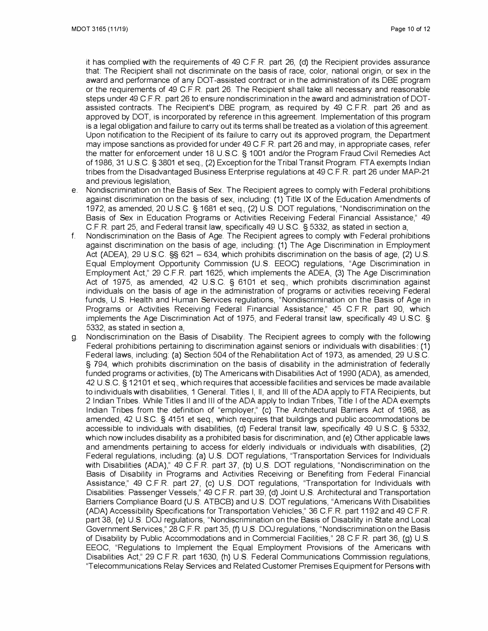it has complied with the requirements of 49 C.F.R. part 26, (d) the Recipient provides assurance that: The Recipient shall not discriminate on the basis of race, color, national origin, or sex in the award and performance of any DOT-assisted contract or in the administration of its DBE program or the requirements of 49 C.F.R. part 26. The Recipient shall take all necessary and reasonable steps under 49 C.F.R. part 26 to ensure nondiscrimination in the award and administration of DOTassisted contracts. The Recipient's DBE program, as required by 49 C. F.R. part 26 and as approved by DOT, is incorporated by reference in this agreement. Implementation of this program is a legal obligation and failure to carry out its terms shall be treated as a violation of this agreement. Upon notification to the Recipient of its failure to carry out its approved program, the Department may impose sanctions as provided for under 49 C.F.R. part 26 and may, in appropriate cases, refer the matter for enforcement under 18 US.C § 1001 and/or the Program Fraud Civil Remedies Act of 1986, 31 U.S.C. § 3801 et seq., (2) Exception for the Tribal Transit Program FTA exempts Indian tribes from the Disadvantaged Business Enterprise regulations at 49 C.F.R. part 26 under MAP-21 and previous legislation,

- e. Nondiscrimination on the Basis of Sex. The Recipient agrees to comply with Federal prohibitions against discrimination on the basis of sex, including: (1) Title IX of the Education Amendments of 1972, as amended, 20 U.S.C. § 1681 et seq., (2) U.S. DOT regulations, "Nondiscrimination on the Basis of Sex in Education Programs or Activities Receiving Federal Financial Assistance," 49 C.F.R. part 25, and Federal transit law, specifically 49 US.C. § 5332, as stated in section a,
- f. Nondiscrimination on the Basis of Age. The Recipient agrees to comply with Federal prohibitions against discrimination on the basis of age, including: (1) The Age Discrimination in Employment Act (ADEA), 29 U.S.C. §§ 621 – 634, which prohibits discrimination on the basis of age, (2) U.S. Equal Employment Opportunity Commission (US. EEOC) regulations, "Age Discrimination in Employment Act," 29 C.F.R. part 1625, which implements the ADEA, (3) The Age Discrimination Act of 1975, as amended, 42 U.S.C. § 6101 et seq., which prohibits discrimination against individuals on the basis of age in the administration of programs or activities receiving Federal funds, U.S. Health and Human Services regulations, "Nondiscrimination on the Basis of Age in Programs or Activities Receiving Federal Financial Assistance," 45 C.F.R. part 90, which implements the Age Discrimination Act of 1975, and Federal transit law, specifically 49 US.C. § 5332, as stated in section a,
- g. Nondiscrimination on the Basis of Disability. The Recipient agrees to comply with the following Federal prohibitions pertaining to discrimination against seniors or individuals with disabilities: (1) Federal laws, including: (a) Section 504 of the Rehabilitation Act of 1973, as amended, 29 U.S.C. § 794, which prohibits discrimination on the basis of disability in the administration of federally funded programs or activities, (b) The Americans with Disabilities Act of 1990 (ADA), as amended, 42 U.S.C § 12101 et seq., which requires that accessible facilities and services be made available to individuals with disabilities, 1 General. Titles I, II, and Ill of the ADA apply to FTA Recipients, but 2 Indian Tribes. While Titles 11 and 111 of the ADA apply to Indian Tribes, Title I of the ADA exempts Indian Tribes from the definition of "employer," (c) The Architectural Barriers Act of 1968, as amended, 42 US.C. § 4151 et seq., which requires that buildings and public accommodations be accessible to individuals with disabilities, (d) Federal transit law, specifically 49 U.S.C § 5332, which now includes disability as a prohibited basis for discrimination, and (e) Other applicable laws and amendments pertaining to access for elderly individuals or individuals with disabilities, (2) Federal regulations, including: (a) U.S. DOT regulations, "Transportation Services for Individuals with Disabilities (ADA)," 49 C.F.R. part 37, (b) U.S. DOT regulations, "Nondiscrimination on the Basis of Disability in Programs and Activities Receiving or Benefiting from Federal Financial Assistance," 49 C.F.R. part 27, (c) U.S. DOT regulations, "Transportation for Individuals with Disabilities: Passenger Vessels," 49 C.F.R. part 39, (d) Joint U S. Architectural and Transportation Barriers Compliance Board (U.S. ATBCB) and U.S. DOT regulations, "Americans With Disabilities (ADA) Accessibility Specifications for Transportation Vehicles," 36 C. F. R. part 1192 and 49 C.F.R. part 38, (e) U.S. DOJ regulations, "Nondiscrimination on the Basis of Disability in State and Local Government Services," 28 C F. R. part 35, (f) U S. DOJ regulations, "Nondiscrimination on the Basis of Disability by Public Accommodations and in Commercial Facilities," 28 C.F.R. part 36, (g) U S. EEOC, "Regulations to Implement the Equal Employment Provisions of the Americans with Disabilities Act," 29 C.F.R. part 1630, (h) U.S. Federal Communications Commission regulations, "Telecommunications Relay Services and Related Customer Premises Equipment for Persons with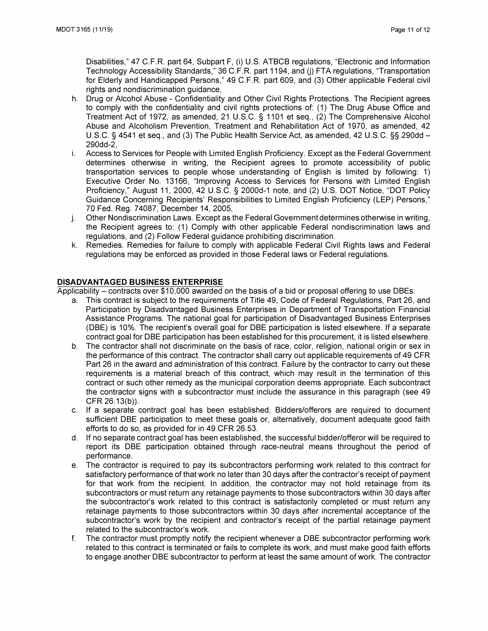Disabilities," 47 C.F.R. part 64, Subpart F, (i) U.S. ATBCB regulations, "Electronic and Information Technology Accessibility Standards," 36 C.F.R. part 1194, and (i) FTA regulations, "Transportation for Elderly and Handicapped Persons," 49 C.F.R. part 609, and (3) Other applicable Federal civil rights and nondiscrimination guidance,

- h. Drug or Alcohol Abuse Confidentiality and Other Civil Rights Protections. The Recipient agrees to comply with the confidentiality and civil rights protections of: (1) The Drug Abuse Office and Treatment Act of 1972, as amended, 21 U.S.C. § 1101 et seq., (2) The Comprehensive Alcohol Abuse and Alcoholism Prevention, Treatment and Rehabilitation Act of 1970, as amended, 42 U.S.C. § 4541 et seq., and (3) The Public Health Service Act, as amended, 42 U.S.C. §§ 290dd – 290dd-2,
- i. Access to Services for People with Limited English Proficiency. Except as the Federal Government determines otherwise in writing, the Recipient agrees to promote accessibility of public transportation services to people whose understanding of English is limited by following: 1) Executive Order No. 13166, "Improving Access to Services for Persons with Limited English Proficiency," August 11, 2000, 42 U.S.C. § 2000d-1 note, and (2) U.S. DOT Notice, "DOT Policy Guidance Concerning Recipients' Responsibilities to Limited English Proficiency (LEP) Persons," 70 Fed. Reg. 74087, December 14, 2005,
- j. Other Nondiscrimination Laws. Except as the Federal Government determines otherwise in writing, the Recipient agrees to: (1) Comply with other applicable Federal nondiscrimination laws and regulations, and (2) Follow Federal guidance prohibiting discrimination.
- k. Remedies. Remedies for failure to comply with applicable Federal Civil Rights laws and Federal regulations may be enforced as provided in those Federal laws or Federal regulations.

### **DISADVANTAGED BUSINESS ENTERPRISE**

Applicability – contracts over \$10,000 awarded on the basis of a bid or proposal offering to use DBEs:

- a. This contract is subject to the requirements of Title 49, Code of Federal Regulations, Part 26, and Participation by Disadvantaged Business Enterprises in Department of Transportation Financial Assistance Programs. The national goal for participation of Disadvantaged Business Enterprises (DBE) is 10%. The recipient's overall goal for DBE participation is listed elsewhere. If a separate contract goal for DBE participation has been established for this procurement, it is listed elsewhere.
- b. The contractor shall not discriminate on the basis of race, color, religion, national origin or sex in the performance of this contract. The contractor shall carry out applicable requirements of 49 CFR Part 26 in the award and administration of this contract. Failure by the contractor to carry out these requirements is a material breach of this contract, which may result in the termination of this contract or such other remedy as the municipal corporation deems appropriate. Each subcontract the contractor signs with a subcontractor must include the assurance in this paragraph (see 49 CFR 26.13(b)).
- c. If a separate contract goal has been established, Bidders/offerers are required to document sufficient DBE participation to meet these goals or, alternatively, document adequate good faith efforts to do so, as provided for in 49 CFR 26.53.
- d. If no separate contract goal has been established, the successful bidder/offerer will be required to report its DBE participation obtained through race-neutral means throughout the period of performance.
- e. The contractor is required to pay its subcontractors performing work related to this contract for satisfactory performance of that work no later than 30 days after the contractor's receipt of payment for that work from the recipient. In addition, the contractor may not hold retainage from its subcontractors or must return any retainage payments to those subcontractors within 30 days after the subcontractor's work related to this contract is satisfactorily completed or must return any retainage payments to those subcontractors within 30 days after incremental acceptance of the subcontractor's work by the recipient and contractor's receipt of the partial retainage payment related to the subcontractor's work.
- f. The contractor must promptly notify the recipient whenever a DBE subcontractor performing work related to this contract is terminated or fails to complete its work, and must make good faith efforts to engage another DBE subcontractor to perform at least the same amount of work. The contractor